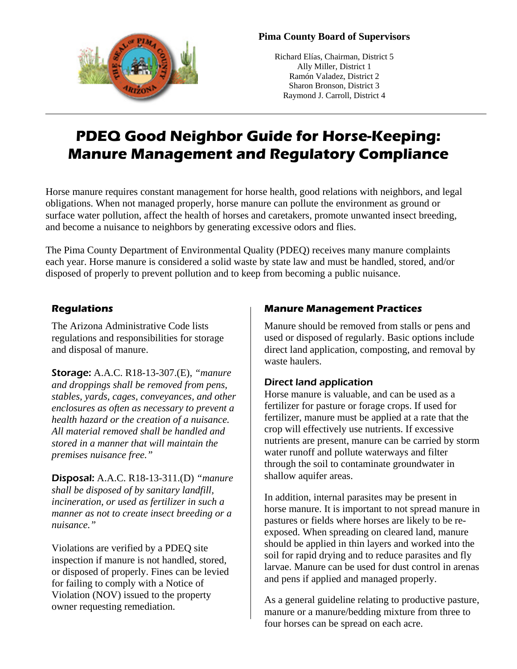

### **Pima County Board of Supervisors**

Richard Elías, Chairman, District 5 Ally Miller, District 1 Ramón Valadez, District 2 Sharon Bronson, District 3 Raymond J. Carroll, District 4

# **PDEQ Good Neighbor Guide for Horse-Keeping: Manure Management and Regulatory Compliance**

Horse manure requires constant management for horse health, good relations with neighbors, and legal obligations. When not managed properly, horse manure can pollute the environment as ground or surface water pollution, affect the health of horses and caretakers, promote unwanted insect breeding, and become a nuisance to neighbors by generating excessive odors and flies.

The Pima County Department of Environmental Quality (PDEQ) receives many manure complaints each year. Horse manure is considered a solid waste by state law and must be handled, stored, and/or disposed of properly to prevent pollution and to keep from becoming a public nuisance.

## **Regulations**

The Arizona Administrative Code lists regulations and responsibilities for storage and disposal of manure.

Storage: A.A.C. R18-13-307.(E), *"manure and droppings shall be removed from pens, stables, yards, cages, conveyances, and other enclosures as often as necessary to prevent a health hazard or the creation of a nuisance. All material removed shall be handled and stored in a manner that will maintain the premises nuisance free."*

Disposal: A.A.C. R18-13-311.(D) *"manure shall be disposed of by sanitary landfill, incineration, or used as fertilizer in such a manner as not to create insect breeding or a nuisance."*

Violations are verified by a PDEQ site inspection if manure is not handled, stored, or disposed of properly. Fines can be levied for failing to comply with a Notice of Violation (NOV) issued to the property owner requesting remediation.

# **Manure Management Practices**

Manure should be removed from stalls or pens and used or disposed of regularly. Basic options include direct land application, composting, and removal by waste haulers.

#### Direct land application

Horse manure is valuable, and can be used as a fertilizer for pasture or forage crops. If used for fertilizer, manure must be applied at a rate that the crop will effectively use nutrients. If excessive nutrients are present, manure can be carried by storm water runoff and pollute waterways and filter through the soil to contaminate groundwater in shallow aquifer areas.

In addition, internal parasites may be present in horse manure. It is important to not spread manure in pastures or fields where horses are likely to be reexposed. When spreading on cleared land, manure should be applied in thin layers and worked into the soil for rapid drying and to reduce parasites and fly larvae. Manure can be used for dust control in arenas and pens if applied and managed properly.

As a general guideline relating to productive pasture, manure or a manure/bedding mixture from three to four horses can be spread on each acre.